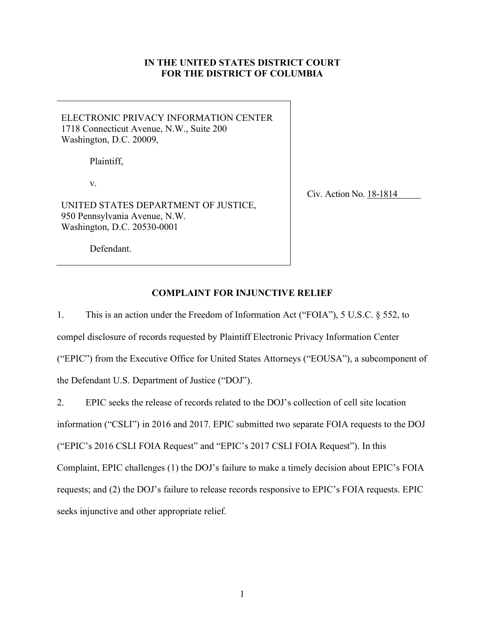# **IN THE UNITED STATES DISTRICT COURT FOR THE DISTRICT OF COLUMBIA**

ELECTRONIC PRIVACY INFORMATION CENTER 1718 Connecticut Avenue, N.W., Suite 200 Washington, D.C. 20009,

Plaintiff,

v.

UNITED STATES DEPARTMENT OF JUSTICE, 950 Pennsylvania Avenue, N.W. Washington, D.C. 20530-0001

Civ. Action No. 18-1814

Defendant.

# **COMPLAINT FOR INJUNCTIVE RELIEF**

1. This is an action under the Freedom of Information Act ("FOIA"), 5 U.S.C. § 552, to compel disclosure of records requested by Plaintiff Electronic Privacy Information Center ("EPIC") from the Executive Office for United States Attorneys ("EOUSA"), a subcomponent of the Defendant U.S. Department of Justice ("DOJ").

2. EPIC seeks the release of records related to the DOJ's collection of cell site location

information ("CSLI") in 2016 and 2017. EPIC submitted two separate FOIA requests to the DOJ

("EPIC's 2016 CSLI FOIA Request" and "EPIC's 2017 CSLI FOIA Request"). In this

Complaint, EPIC challenges (1) the DOJ's failure to make a timely decision about EPIC's FOIA

requests; and (2) the DOJ's failure to release records responsive to EPIC's FOIA requests. EPIC

seeks injunctive and other appropriate relief.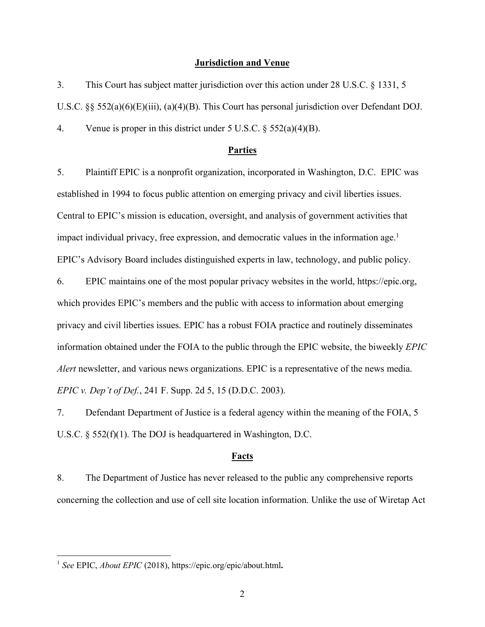#### **Jurisdiction and Venue**

3. This Court has subject matter jurisdiction over this action under 28 U.S.C. § 1331, 5 U.S.C. §§ 552(a)(6)(E)(iii), (a)(4)(B). This Court has personal jurisdiction over Defendant DOJ. 4. Venue is proper in this district under 5 U.S.C. § 552(a)(4)(B).

#### **Parties**

5. Plaintiff EPIC is a nonprofit organization, incorporated in Washington, D.C. EPIC was established in 1994 to focus public attention on emerging privacy and civil liberties issues. Central to EPIC's mission is education, oversight, and analysis of government activities that impact individual privacy, free expression, and democratic values in the information age. 1 EPIC's Advisory Board includes distinguished experts in law, technology, and public policy.

6. EPIC maintains one of the most popular privacy websites in the world, https://epic.org, which provides EPIC's members and the public with access to information about emerging privacy and civil liberties issues. EPIC has a robust FOIA practice and routinely disseminates information obtained under the FOIA to the public through the EPIC website, the biweekly *EPIC Alert* newsletter, and various news organizations. EPIC is a representative of the news media. *EPIC v. Dep't of Def.*, 241 F. Supp. 2d 5, 15 (D.D.C. 2003).

7. Defendant Department of Justice is a federal agency within the meaning of the FOIA, 5 U.S.C. § 552(f)(1). The DOJ is headquartered in Washington, D.C.

#### **Facts**

8. The Department of Justice has never released to the public any comprehensive reports concerning the collection and use of cell site location information. Unlike the use of Wiretap Act

 <sup>1</sup> *See* EPIC, *About EPIC* (2018), https://epic.org/epic/about.html**.**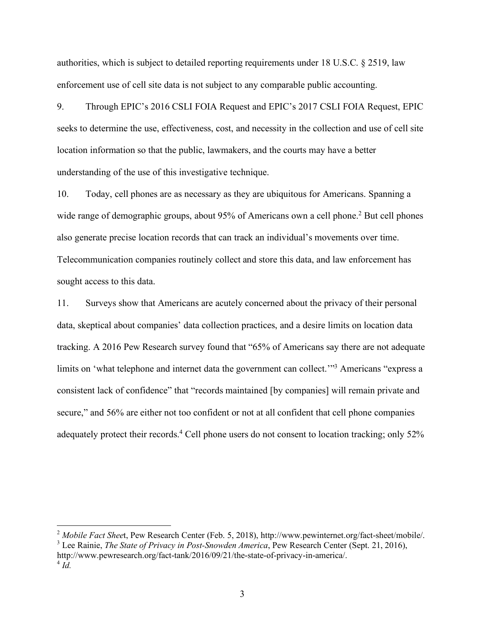authorities, which is subject to detailed reporting requirements under 18 U.S.C. § 2519, law enforcement use of cell site data is not subject to any comparable public accounting.

9. Through EPIC's 2016 CSLI FOIA Request and EPIC's 2017 CSLI FOIA Request, EPIC seeks to determine the use, effectiveness, cost, and necessity in the collection and use of cell site location information so that the public, lawmakers, and the courts may have a better understanding of the use of this investigative technique.

10. Today, cell phones are as necessary as they are ubiquitous for Americans. Spanning a wide range of demographic groups, about 95% of Americans own a cell phone.<sup>2</sup> But cell phones also generate precise location records that can track an individual's movements over time. Telecommunication companies routinely collect and store this data, and law enforcement has sought access to this data.

11. Surveys show that Americans are acutely concerned about the privacy of their personal data, skeptical about companies' data collection practices, and a desire limits on location data tracking. A 2016 Pew Research survey found that "65% of Americans say there are not adequate limits on 'what telephone and internet data the government can collect."<sup>3</sup> Americans "express a consistent lack of confidence" that "records maintained [by companies] will remain private and secure," and 56% are either not too confident or not at all confident that cell phone companies adequately protect their records.<sup>4</sup> Cell phone users do not consent to location tracking; only 52%

<sup>2</sup> Mobile Fact Sheet, Pew Research Center (Feb. 5, 2018), http://www.pewinternet.org/fact-sheet/mobile/. <sup>3</sup> Lee Rainie, *The State of Privacy in Post-Snowden America*, Pew Research Center (Sept. 21, 2016),

http://www.pewresearch.org/fact-tank/2016/09/21/the-state-of-privacy-in-america/.  $^{4}$  *Id.*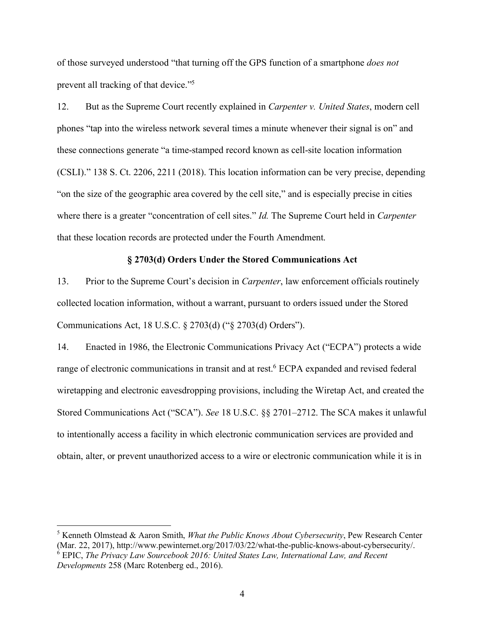of those surveyed understood "that turning off the GPS function of a smartphone *does not* prevent all tracking of that device."5

12. But as the Supreme Court recently explained in *Carpenter v. United States*, modern cell phones "tap into the wireless network several times a minute whenever their signal is on" and these connections generate "a time-stamped record known as cell-site location information (CSLI)." 138 S. Ct. 2206, 2211 (2018). This location information can be very precise, depending "on the size of the geographic area covered by the cell site," and is especially precise in cities where there is a greater "concentration of cell sites." *Id.* The Supreme Court held in *Carpenter* that these location records are protected under the Fourth Amendment.

### **§ 2703(d) Orders Under the Stored Communications Act**

13. Prior to the Supreme Court's decision in *Carpenter*, law enforcement officials routinely collected location information, without a warrant, pursuant to orders issued under the Stored Communications Act, 18 U.S.C. § 2703(d) ("§ 2703(d) Orders").

14. Enacted in 1986, the Electronic Communications Privacy Act ("ECPA") protects a wide range of electronic communications in transit and at rest.<sup>6</sup> ECPA expanded and revised federal wiretapping and electronic eavesdropping provisions, including the Wiretap Act, and created the Stored Communications Act ("SCA"). *See* 18 U.S.C. §§ 2701–2712. The SCA makes it unlawful to intentionally access a facility in which electronic communication services are provided and obtain, alter, or prevent unauthorized access to a wire or electronic communication while it is in

 <sup>5</sup> Kenneth Olmstead & Aaron Smith, *What the Public Knows About Cybersecurity*, Pew Research Center (Mar. 22, 2017), http://www.pewinternet.org/2017/03/22/what-the-public-knows-about-cybersecurity/.

<sup>6</sup> EPIC, *The Privacy Law Sourcebook 2016: United States Law, International Law, and Recent Developments* 258 (Marc Rotenberg ed., 2016).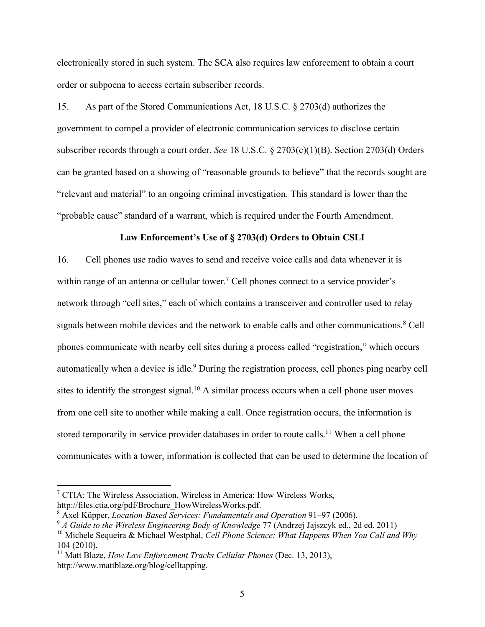electronically stored in such system. The SCA also requires law enforcement to obtain a court order or subpoena to access certain subscriber records.

15. As part of the Stored Communications Act, 18 U.S.C. § 2703(d) authorizes the government to compel a provider of electronic communication services to disclose certain subscriber records through a court order. *See* 18 U.S.C. § 2703(c)(1)(B). Section 2703(d) Orders can be granted based on a showing of "reasonable grounds to believe" that the records sought are "relevant and material" to an ongoing criminal investigation. This standard is lower than the "probable cause" standard of a warrant, which is required under the Fourth Amendment.

### **Law Enforcement's Use of § 2703(d) Orders to Obtain CSLI**

16. Cell phones use radio waves to send and receive voice calls and data whenever it is within range of an antenna or cellular tower.<sup>7</sup> Cell phones connect to a service provider's network through "cell sites," each of which contains a transceiver and controller used to relay signals between mobile devices and the network to enable calls and other communications.<sup>8</sup> Cell phones communicate with nearby cell sites during a process called "registration," which occurs automatically when a device is idle.<sup>9</sup> During the registration process, cell phones ping nearby cell sites to identify the strongest signal.<sup>10</sup> A similar process occurs when a cell phone user moves from one cell site to another while making a call. Once registration occurs, the information is stored temporarily in service provider databases in order to route calls.<sup>11</sup> When a cell phone communicates with a tower, information is collected that can be used to determine the location of

 <sup>7</sup> CTIA: The Wireless Association, Wireless in America: How Wireless Works, http://files.ctia.org/pdf/Brochure\_HowWirelessWorks.pdf.

<sup>8</sup> Axel Küpper, *Location-Based Services: Fundamentals and Operation* 91–97 (2006).

<sup>9</sup> *A Guide to the Wireless Engineering Body of Knowledge* 77 (Andrzej Jajszcyk ed., 2d ed. 2011) <sup>10</sup> Michele Sequeira & Michael Westphal, *Cell Phone Science: What Happens When You Call and Why*

<sup>104 (2010).</sup> 

<sup>11</sup> Matt Blaze, *How Law Enforcement Tracks Cellular Phones* (Dec. 13, 2013), http://www.mattblaze.org/blog/celltapping.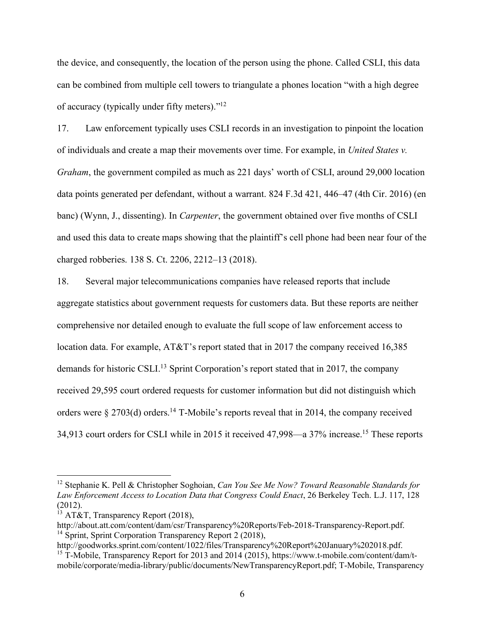the device, and consequently, the location of the person using the phone. Called CSLI, this data can be combined from multiple cell towers to triangulate a phones location "with a high degree of accuracy (typically under fifty meters)."12

17. Law enforcement typically uses CSLI records in an investigation to pinpoint the location of individuals and create a map their movements over time. For example, in *United States v. Graham*, the government compiled as much as 221 days' worth of CSLI, around 29,000 location data points generated per defendant, without a warrant. 824 F.3d 421, 446–47 (4th Cir. 2016) (en banc) (Wynn, J., dissenting). In *Carpenter*, the government obtained over five months of CSLI and used this data to create maps showing that the plaintiff's cell phone had been near four of the charged robberies. 138 S. Ct. 2206, 2212–13 (2018).

18. Several major telecommunications companies have released reports that include aggregate statistics about government requests for customers data. But these reports are neither comprehensive nor detailed enough to evaluate the full scope of law enforcement access to location data. For example, AT&T's report stated that in 2017 the company received 16,385 demands for historic CSLI. <sup>13</sup> Sprint Corporation's report stated that in 2017, the company received 29,595 court ordered requests for customer information but did not distinguish which orders were  $\S 2703(d)$  orders.<sup>14</sup> T-Mobile's reports reveal that in 2014, the company received 34,913 court orders for CSLI while in 2015 it received 47,998—a 37% increase.15 These reports

 <sup>12</sup> Stephanie K. Pell & Christopher Soghoian, *Can You See Me Now? Toward Reasonable Standards for Law Enforcement Access to Location Data that Congress Could Enact*, 26 Berkeley Tech. L.J. 117, 128 (2012).

 $13$  AT&T, Transparency Report (2018),

http://about.att.com/content/dam/csr/Transparency%20Reports/Feb-2018-Transparency-Report.pdf. <sup>14</sup> Sprint, Sprint Corporation Transparency Report 2 (2018),

http://goodworks.sprint.com/content/1022/files/Transparency%20Report%20January%202018.pdf. <sup>15</sup> T-Mobile, Transparency Report for 2013 and 2014 (2015), https://www.t-mobile.com/content/dam/tmobile/corporate/media-library/public/documents/NewTransparencyReport.pdf; T-Mobile, Transparency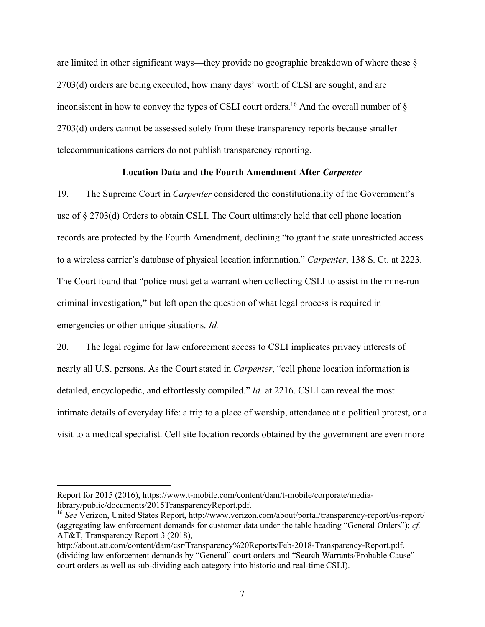are limited in other significant ways—they provide no geographic breakdown of where these § 2703(d) orders are being executed, how many days' worth of CLSI are sought, and are inconsistent in how to convey the types of CSLI court orders.<sup>16</sup> And the overall number of  $\S$ 2703(d) orders cannot be assessed solely from these transparency reports because smaller telecommunications carriers do not publish transparency reporting.

### **Location Data and the Fourth Amendment After** *Carpenter*

19. The Supreme Court in *Carpenter* considered the constitutionality of the Government's use of § 2703(d) Orders to obtain CSLI. The Court ultimately held that cell phone location records are protected by the Fourth Amendment, declining "to grant the state unrestricted access to a wireless carrier's database of physical location information." *Carpenter*, 138 S. Ct. at 2223. The Court found that "police must get a warrant when collecting CSLI to assist in the mine-run criminal investigation," but left open the question of what legal process is required in emergencies or other unique situations. *Id.*

20. The legal regime for law enforcement access to CSLI implicates privacy interests of nearly all U.S. persons. As the Court stated in *Carpenter*, "cell phone location information is detailed, encyclopedic, and effortlessly compiled." *Id.* at 2216. CSLI can reveal the most intimate details of everyday life: a trip to a place of worship, attendance at a political protest, or a visit to a medical specialist. Cell site location records obtained by the government are even more

 $\overline{a}$ 

Report for 2015 (2016), https://www.t-mobile.com/content/dam/t-mobile/corporate/medialibrary/public/documents/2015TransparencyReport.pdf.

<sup>16</sup> *See* Verizon, United States Report, http://www.verizon.com/about/portal/transparency-report/us-report/ (aggregating law enforcement demands for customer data under the table heading "General Orders"); *cf.* AT&T, Transparency Report 3 (2018),

http://about.att.com/content/dam/csr/Transparency%20Reports/Feb-2018-Transparency-Report.pdf. (dividing law enforcement demands by "General" court orders and "Search Warrants/Probable Cause" court orders as well as sub-dividing each category into historic and real-time CSLI).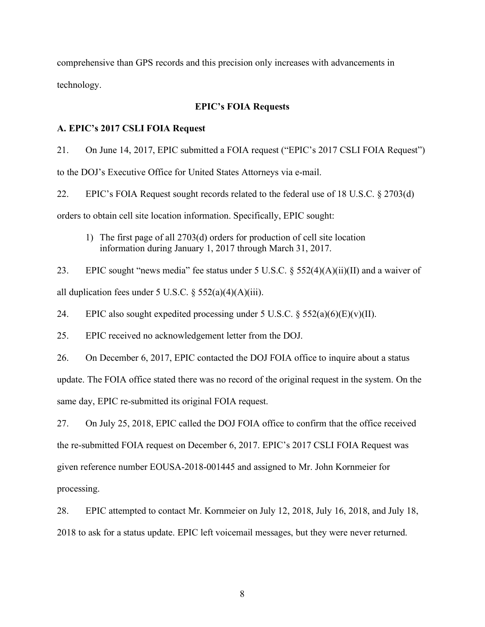comprehensive than GPS records and this precision only increases with advancements in technology.

### **EPIC's FOIA Requests**

### **A. EPIC's 2017 CSLI FOIA Request**

21. On June 14, 2017, EPIC submitted a FOIA request ("EPIC's 2017 CSLI FOIA Request") to the DOJ's Executive Office for United States Attorneys via e-mail.

22. EPIC's FOIA Request sought records related to the federal use of 18 U.S.C. § 2703(d) orders to obtain cell site location information. Specifically, EPIC sought:

1) The first page of all 2703(d) orders for production of cell site location information during January 1, 2017 through March 31, 2017.

23. EPIC sought "news media" fee status under 5 U.S.C.  $\S$  552(4)(A)(ii)(II) and a waiver of all duplication fees under 5 U.S.C.  $\frac{552(a)(4)(A)(iii)}{2(a)(A)(iii)}$ .

24. EPIC also sought expedited processing under 5 U.S.C.  $\S$  552(a)(6)(E)(v)(II).

25. EPIC received no acknowledgement letter from the DOJ.

26. On December 6, 2017, EPIC contacted the DOJ FOIA office to inquire about a status update. The FOIA office stated there was no record of the original request in the system. On the same day, EPIC re-submitted its original FOIA request.

27. On July 25, 2018, EPIC called the DOJ FOIA office to confirm that the office received the re-submitted FOIA request on December 6, 2017. EPIC's 2017 CSLI FOIA Request was given reference number EOUSA-2018-001445 and assigned to Mr. John Kornmeier for processing.

28. EPIC attempted to contact Mr. Kornmeier on July 12, 2018, July 16, 2018, and July 18, 2018 to ask for a status update. EPIC left voicemail messages, but they were never returned.

8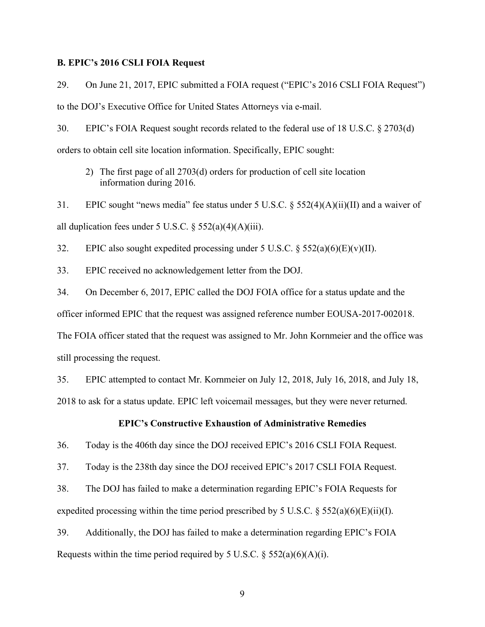### **B. EPIC's 2016 CSLI FOIA Request**

29. On June 21, 2017, EPIC submitted a FOIA request ("EPIC's 2016 CSLI FOIA Request") to the DOJ's Executive Office for United States Attorneys via e-mail.

30. EPIC's FOIA Request sought records related to the federal use of 18 U.S.C. § 2703(d) orders to obtain cell site location information. Specifically, EPIC sought:

2) The first page of all 2703(d) orders for production of cell site location information during 2016.

31. EPIC sought "news media" fee status under 5 U.S.C. § 552(4)(A)(ii)(II) and a waiver of all duplication fees under 5 U.S.C.  $\S$  552(a)(4)(A)(iii).

32. EPIC also sought expedited processing under 5 U.S.C.  $\S$  552(a)(6)(E)(v)(II).

33. EPIC received no acknowledgement letter from the DOJ.

34. On December 6, 2017, EPIC called the DOJ FOIA office for a status update and the officer informed EPIC that the request was assigned reference number EOUSA-2017-002018. The FOIA officer stated that the request was assigned to Mr. John Kornmeier and the office was still processing the request.

35. EPIC attempted to contact Mr. Kornmeier on July 12, 2018, July 16, 2018, and July 18, 2018 to ask for a status update. EPIC left voicemail messages, but they were never returned.

# **EPIC's Constructive Exhaustion of Administrative Remedies**

36. Today is the 406th day since the DOJ received EPIC's 2016 CSLI FOIA Request.

37. Today is the 238th day since the DOJ received EPIC's 2017 CSLI FOIA Request.

38. The DOJ has failed to make a determination regarding EPIC's FOIA Requests for expedited processing within the time period prescribed by 5 U.S.C.  $\S$  552(a)(6)(E)(ii)(I).

39. Additionally, the DOJ has failed to make a determination regarding EPIC's FOIA Requests within the time period required by 5 U.S.C.  $\S$  552(a)(6)(A)(i).

9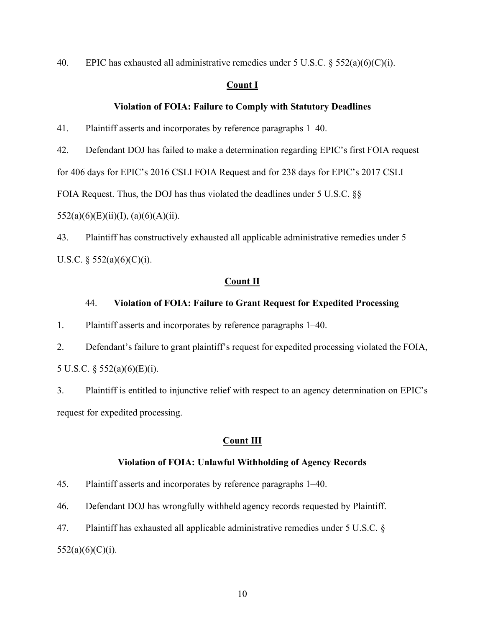40. EPIC has exhausted all administrative remedies under 5 U.S.C.  $\S$  552(a)(6)(C)(i).

## **Count I**

### **Violation of FOIA: Failure to Comply with Statutory Deadlines**

41. Plaintiff asserts and incorporates by reference paragraphs 1–40.

42. Defendant DOJ has failed to make a determination regarding EPIC's first FOIA request

for 406 days for EPIC's 2016 CSLI FOIA Request and for 238 days for EPIC's 2017 CSLI

FOIA Request. Thus, the DOJ has thus violated the deadlines under 5 U.S.C. §§

 $552(a)(6)(E)(ii)(I), (a)(6)(A)(ii).$ 

43. Plaintiff has constructively exhausted all applicable administrative remedies under 5 U.S.C.  $\S$  552(a)(6)(C)(i).

#### **Count II**

### 44. **Violation of FOIA: Failure to Grant Request for Expedited Processing**

1. Plaintiff asserts and incorporates by reference paragraphs 1–40.

2. Defendant's failure to grant plaintiff's request for expedited processing violated the FOIA, 5 U.S.C. § 552(a)(6)(E)(i).

3. Plaintiff is entitled to injunctive relief with respect to an agency determination on EPIC's request for expedited processing.

## **Count III**

### **Violation of FOIA: Unlawful Withholding of Agency Records**

45. Plaintiff asserts and incorporates by reference paragraphs 1–40.

46. Defendant DOJ has wrongfully withheld agency records requested by Plaintiff.

47. Plaintiff has exhausted all applicable administrative remedies under 5 U.S.C. §  $552(a)(6)(C)(i)$ .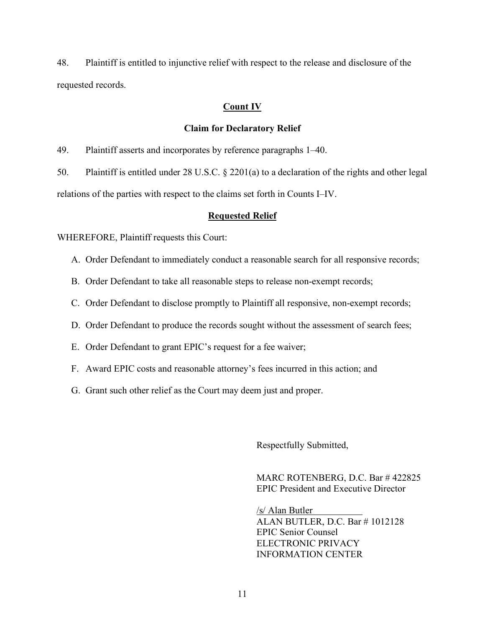48. Plaintiff is entitled to injunctive relief with respect to the release and disclosure of the requested records.

# **Count IV**

## **Claim for Declaratory Relief**

49. Plaintiff asserts and incorporates by reference paragraphs 1–40.

50. Plaintiff is entitled under 28 U.S.C. § 2201(a) to a declaration of the rights and other legal relations of the parties with respect to the claims set forth in Counts I–IV.

## **Requested Relief**

WHEREFORE, Plaintiff requests this Court:

- A. Order Defendant to immediately conduct a reasonable search for all responsive records;
- B. Order Defendant to take all reasonable steps to release non-exempt records;
- C. Order Defendant to disclose promptly to Plaintiff all responsive, non-exempt records;
- D. Order Defendant to produce the records sought without the assessment of search fees;
- E. Order Defendant to grant EPIC's request for a fee waiver;
- F. Award EPIC costs and reasonable attorney's fees incurred in this action; and
- G. Grant such other relief as the Court may deem just and proper.

Respectfully Submitted,

MARC ROTENBERG, D.C. Bar # 422825 EPIC President and Executive Director

/s/ Alan Butler ALAN BUTLER, D.C. Bar # 1012128 EPIC Senior Counsel ELECTRONIC PRIVACY INFORMATION CENTER